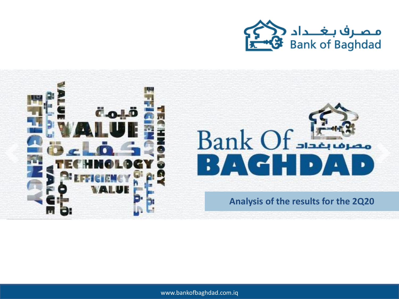





**Analysis of the results for the 2Q20**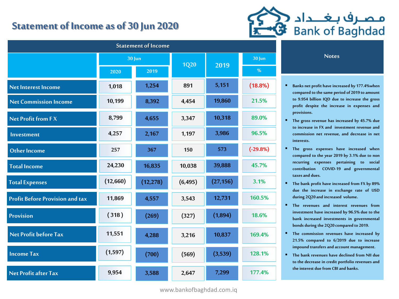## **Statement of Income as of 30 Jun 2020**



|                                        |               | <b>Statement of Income</b> |             |           |               |                                                                                                                                                                                                                                                                                                                                                                                                                                                                                                                                                           |
|----------------------------------------|---------------|----------------------------|-------------|-----------|---------------|-----------------------------------------------------------------------------------------------------------------------------------------------------------------------------------------------------------------------------------------------------------------------------------------------------------------------------------------------------------------------------------------------------------------------------------------------------------------------------------------------------------------------------------------------------------|
|                                        | <b>30 Jun</b> |                            | <b>1Q20</b> | 2019      | <b>30 Jun</b> | <b>Notes</b>                                                                                                                                                                                                                                                                                                                                                                                                                                                                                                                                              |
|                                        | 2020          | 2019                       |             |           | %             |                                                                                                                                                                                                                                                                                                                                                                                                                                                                                                                                                           |
| <b>Net Interest Income</b>             | 1,018         | 1,254                      | 891         | 5,151     | $(18.8\%)$    | Banks net profit have incr<br>compared to the same per<br>to 9.954 billion IQD due<br>profit despite the incre<br>provisions.<br>The gross revenue has in<br>to increase in FX and im<br>commission net revenue<br>interests.<br>The gross expenses ha<br>compared to the year 201<br>recurring expenses po<br>contribution<br>COVID-19<br>taxes and dues.<br>The bank profit have incr<br>due the increase in ex<br>during 2Q20 and increase<br>The revenues and inte<br>investment have increase<br>bank increased investme<br>bonds during the 2Q20 co |
| <b>Net Commission Income</b>           | 10,199        | 8,392                      | 4,454       | 19,860    | 21.5%         |                                                                                                                                                                                                                                                                                                                                                                                                                                                                                                                                                           |
| <b>Net Profit from FX</b>              | 8,799         | 4,655                      | 3,347       | 10,318    | 89.0%         |                                                                                                                                                                                                                                                                                                                                                                                                                                                                                                                                                           |
| Investment                             | 4,257         | 2,167                      | 1,197       | 3,986     | 96.5%         |                                                                                                                                                                                                                                                                                                                                                                                                                                                                                                                                                           |
| <b>Other Income</b>                    | 257           | 367                        | 150         | 573       | $(-29.8%)$    |                                                                                                                                                                                                                                                                                                                                                                                                                                                                                                                                                           |
| <b>Total Income</b>                    | 24,230        | 16,835                     | 10,038      | 39,888    | 45.7%         |                                                                                                                                                                                                                                                                                                                                                                                                                                                                                                                                                           |
| <b>Total Expenses</b>                  | (12,660)      | (12, 278)                  | (6, 495)    | (27, 156) | 3.1%          |                                                                                                                                                                                                                                                                                                                                                                                                                                                                                                                                                           |
| <b>Profit Before Provision and tax</b> | 11,869        | 4,557                      | 3,543       | 12,731    | 160.5%        |                                                                                                                                                                                                                                                                                                                                                                                                                                                                                                                                                           |
| Provision                              | (318)         | (269)                      | (327)       | (1,894)   | 18.6%         |                                                                                                                                                                                                                                                                                                                                                                                                                                                                                                                                                           |
| Net Profit before Tax                  | 11,551        | 4,288                      | 3,216       | 10,837    | 169.4%        | The commission revenue<br>21.5% compared to 6/2                                                                                                                                                                                                                                                                                                                                                                                                                                                                                                           |
| <b>Income Tax</b>                      | (1, 597)      | (700)                      | (569)       | (3,539)   | 128.1%        | impound transfers and ac<br>The bank revenues have<br>to the decrease in credit p                                                                                                                                                                                                                                                                                                                                                                                                                                                                         |
| <b>Net Profit after Tax</b>            | 9,954         | 3,588                      | 2,647       | 7,299     | 177.4%        | the interest due from CBI                                                                                                                                                                                                                                                                                                                                                                                                                                                                                                                                 |

- **Banks net profit haveincreased by 177.4%when compared to thesame period of 2019 to amount to 9.954 billion IQD due to increase the gross profit despite the increase in expenses and provisions.**
- **The gross revenue has increased by 45.7% due to increase in FX and investment revenue and commission net revenue, and decrease in net interests.**
- **The gross expenses have increased when compared to the year 2019 by 3.1% due to non recurring expenses pertaining to social contribution COVID-19 and governmental taxesand dues.**
- **The bank profit have increased from FX by 89% due the increase in exchange rate of USD during 2Q20 and increased volume.**
- **The revenues and interest revenues from investment have increased by 96.5% due to the bank increased investments in governmental bonds during the 2Q20 compared to 2019.**
- **The commission revenues have increased by 21.5% compared to 6/2019 due to increase impound transfersand account management.**
- **The bank revenues have declined from NII due to the decrease in credit portfolio revenuesand the interest due from CBI and banks.**

www.bankofbaghdad.com.iq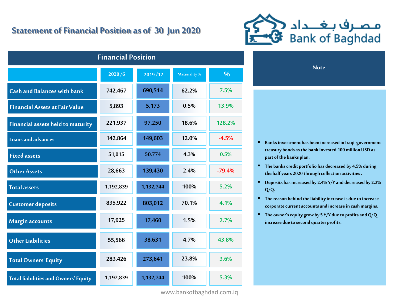## **Statement of Financial Position as of 30 Jun 2020**



**Note**

| <b>Financial Position</b>                   |           |           |               |          |  |  |  |  |  |
|---------------------------------------------|-----------|-----------|---------------|----------|--|--|--|--|--|
|                                             | 2020/6    | 2019/12   | Materiality % | %        |  |  |  |  |  |
| <b>Cash and Balances with bank</b>          | 742,467   | 690,514   | 62.2%         | 7.5%     |  |  |  |  |  |
| <b>Financial Assets at Fair Value</b>       | 5,893     | 5,173     | 0.5%          | 13.9%    |  |  |  |  |  |
| <b>Financial assets held to maturity</b>    | 221,937   | 97,250    | 18.6%         | 128.2%   |  |  |  |  |  |
| <b>Loans and advances</b>                   | 142,864   | 149,603   | 12.0%         | $-4.5%$  |  |  |  |  |  |
| <b>Fixed assets</b>                         | 51,015    | 50,774    | 4.3%          | 0.5%     |  |  |  |  |  |
| <b>Other Assets</b>                         | 28,663    | 139,430   | 2.4%          | $-79.4%$ |  |  |  |  |  |
| <b>Total assets</b>                         | 1,192,839 | 1,132,744 | 100%          | 5.2%     |  |  |  |  |  |
| <b>Customer deposits</b>                    | 835,922   | 803,012   | 70.1%         | 4.1%     |  |  |  |  |  |
| Margin accounts                             | 17,925    | 17,460    | 1.5%          | 2.7%     |  |  |  |  |  |
| <b>Other Liabilities</b>                    | 55,566    | 38,631    | 4.7%          | 43.8%    |  |  |  |  |  |
| <b>Total Owners' Equity</b>                 | 283,426   | 273,641   | 23.8%         | 3.6%     |  |  |  |  |  |
| <b>Total liabilities and Owners' Equity</b> | 1,192,839 | 1,132,744 | 100%          | 5.3%     |  |  |  |  |  |

www.bankofbaghdad.com.iq

 **Banks investment has been increased in Iraqi government treasury bonds as the bank invested 100 million USD as** 

 **The banks credit portfolio has decreased by 4.5% during the half years 2020 through collection activities .**

**part of the banks plan.**

- **Deposits has increased by 2.4% Y/Y and decreased by 2.3% Q/Q.**
- **The reason behind the liability increase is due to increase corporate current accounts and increase in cash margins.**
- **The owner's equity grow by 5 Y/Y due to profits and Q/Q increase due to second quarter profits.**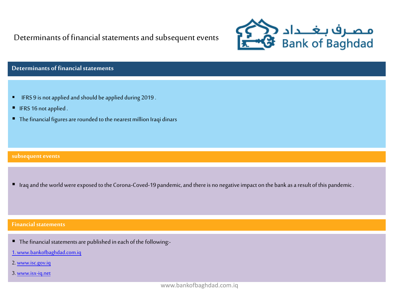Determinants of financial statements and subsequent events



### **Determinants of financial statements**

- **IFRS 9 is not applied and should be applied during 2019.**
- IFRS 16 not applied.
- The financial figures are rounded to the nearest million Iraqi dinars

#### **subsequent events**

Iraq and the world were exposed to the Corona-Coved-19 pandemic, and there is no negative impact on the bank as a result of this pandemic.

#### **Financial statements**

- The financial statements are published in each of the following:-
- [1. www.bankofbaghdad.com.iq](http://www.bankofbaghdad.com.iq/)
- 2. [www.isc.gov.iq](http://www.isc.gov.iq/)
- 3. [www.isx-iq.net](http://www.isx-iq.net/)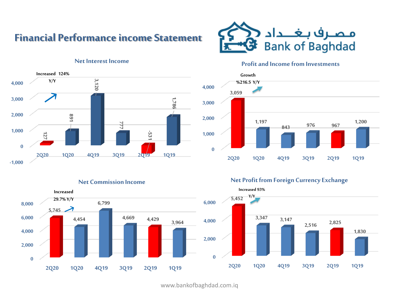## **Financial Performance income Statement**



#### **Profit and Income from Investments**





#### **Net Commission Income**



### **Net Profit from Foreign Currency Exchange**



www.bankofbaghdad.com.iq

#### **Net Interest Income**

**Increased 124%**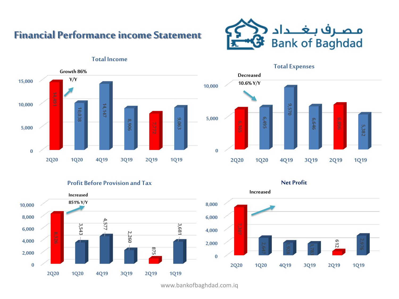## **Financial Performance income Statement**



**Total Expenses**

**Decreased 10.6% Y/Y**



#### **Total Income**



**Profit Before Provision and Tax**





www.bankofbaghdad.com.iq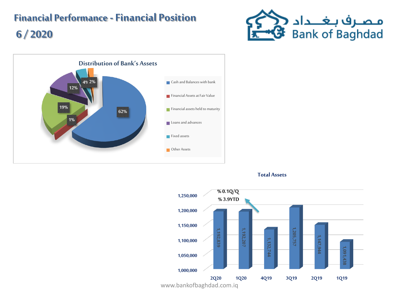# **Financial Performance -Financial Position 6 / 2020**